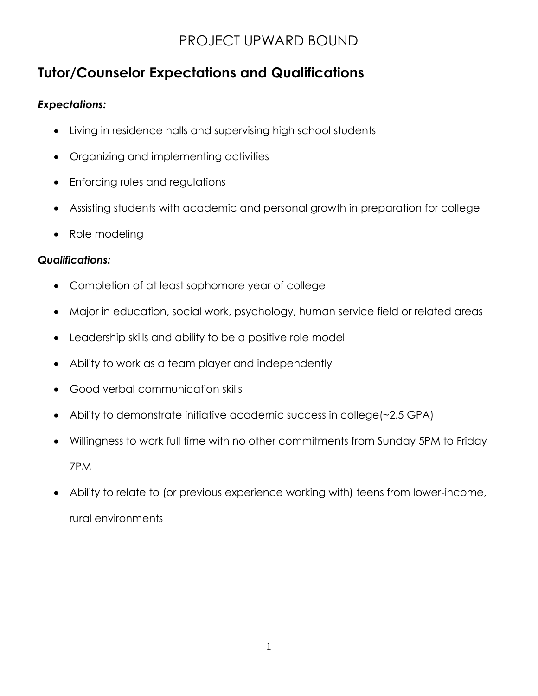# **Tutor/Counselor Expectations and Qualifications**

#### *Expectations:*

- Living in residence halls and supervising high school students
- Organizing and implementing activities
- Enforcing rules and regulations
- Assisting students with academic and personal growth in preparation for college
- Role modeling

#### *Qualifications:*

- Completion of at least sophomore year of college
- Major in education, social work, psychology, human service field or related areas
- Leadership skills and ability to be a positive role model
- Ability to work as a team player and independently
- Good verbal communication skills
- Ability to demonstrate initiative academic success in college(~2.5 GPA)
- Willingness to work full time with no other commitments from Sunday 5PM to Friday 7PM
- Ability to relate to (or previous experience working with) teens from lower-income, rural environments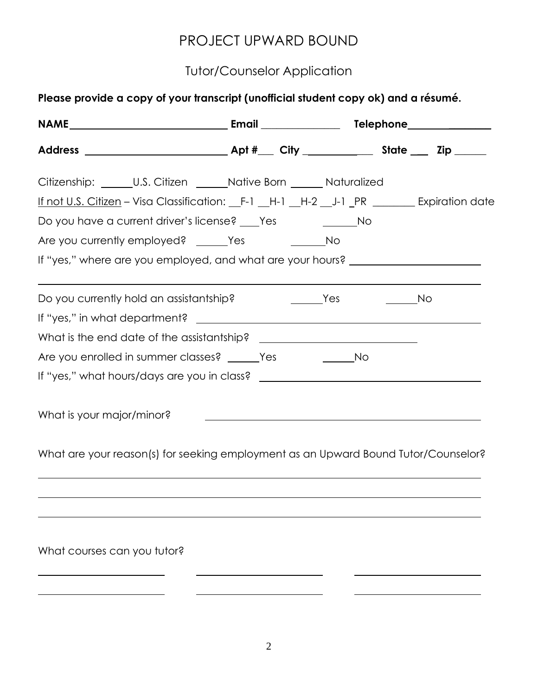#### Tutor/Counselor Application

| Citizenship: ______U.S. Citizen ______Native Born ______ Naturalized                 |  |  |
|--------------------------------------------------------------------------------------|--|--|
| If not U.S. Citizen - Visa Classification: F-1 H-1 H-2 J-1 PR ______ Expiration date |  |  |
| Do you have a current driver's license? ___ Yes ________________ No                  |  |  |
|                                                                                      |  |  |
| If "yes," where are you employed, and what are your hours? _____________________     |  |  |
| Do you currently hold an assistantship?                                              |  |  |
|                                                                                      |  |  |
|                                                                                      |  |  |
|                                                                                      |  |  |
|                                                                                      |  |  |
| What is your major/minor?                                                            |  |  |

What are your reason(s) for seeking employment as an Upward Bound Tutor/Counselor?

What courses can you tutor?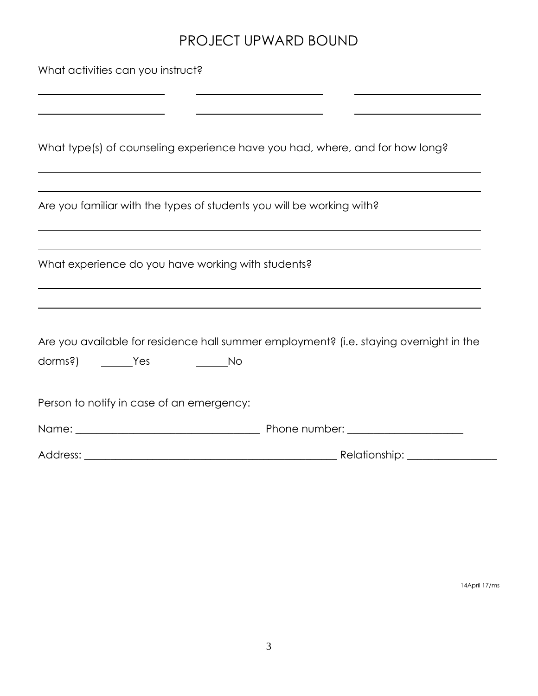<u> Alexander (1986)</u>

 $\mathbf{r}$ 

What activities can you instruct?

What type(s) of counseling experience have you had, where, and for how long?

| Are you familiar with the types of students you will be working with? |  |  |
|-----------------------------------------------------------------------|--|--|
|                                                                       |  |  |
|                                                                       |  |  |

What experience do you have working with students?

Are you available for residence hall summer employment? (i.e. staying overnight in the

| dorms?) | Yes | Νo |
|---------|-----|----|
|---------|-----|----|

Person to notify in case of an emergency:

Name: \_\_\_\_\_\_\_\_\_\_\_\_\_\_\_\_\_\_\_\_\_\_\_\_\_\_\_\_\_\_\_\_\_\_\_ Phone number: \_\_\_\_\_\_\_\_\_\_\_\_\_\_\_\_\_\_\_\_\_\_

Address: \_\_\_\_\_\_\_\_\_\_\_\_\_\_\_\_\_\_\_\_\_\_\_\_\_\_\_\_\_\_\_\_\_\_\_\_\_\_\_\_\_\_\_\_\_\_\_\_ Relationship: \_\_\_\_\_\_\_\_\_\_\_\_\_\_\_\_\_

14April 17/ms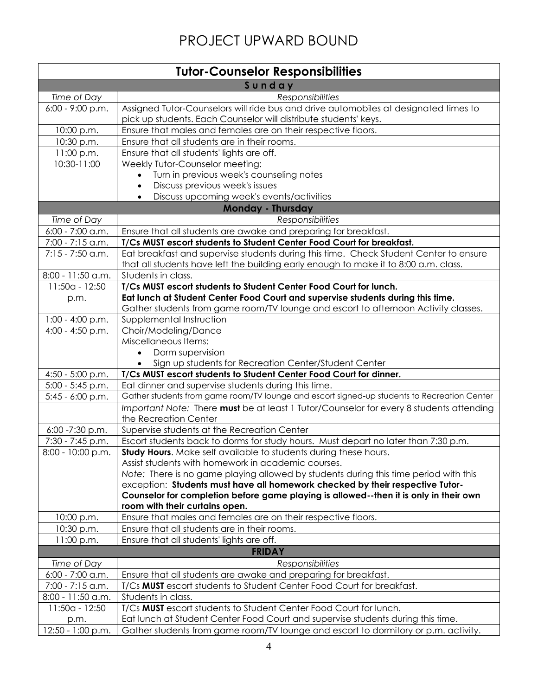| <b>Tutor-Counselor Responsibilities</b> |                                                                                                 |  |
|-----------------------------------------|-------------------------------------------------------------------------------------------------|--|
| Sunday                                  |                                                                                                 |  |
| Time of Day                             | <b>Responsibilities</b>                                                                         |  |
| $6:00 - 9:00 p.m.$                      | Assigned Tutor-Counselors will ride bus and drive automobiles at designated times to            |  |
|                                         | pick up students. Each Counselor will distribute students' keys.                                |  |
| 10:00 p.m.                              | Ensure that males and females are on their respective floors.                                   |  |
| 10:30 p.m.                              | Ensure that all students are in their rooms.                                                    |  |
| 11:00 p.m.                              | Ensure that all students' lights are off.                                                       |  |
| 10:30-11:00                             | Weekly Tutor-Counselor meeting:                                                                 |  |
|                                         | Turn in previous week's counseling notes                                                        |  |
|                                         | Discuss previous week's issues<br>$\bullet$                                                     |  |
|                                         | Discuss upcoming week's events/activities<br>$\bullet$                                          |  |
|                                         | <b>Monday - Thursday</b>                                                                        |  |
| Time of Day                             | Responsibilities                                                                                |  |
| $6:00 - 7:00$ a.m.                      | Ensure that all students are awake and preparing for breakfast.                                 |  |
| 7:00 - 7:15 a.m.                        | T/Cs MUST escort students to Student Center Food Court for breakfast.                           |  |
| $7:15 - 7:50$ a.m.                      | Eat breakfast and supervise students during this time. Check Student Center to ensure           |  |
|                                         | that all students have left the building early enough to make it to 8:00 a.m. class.            |  |
| 8:00 - 11:50 a.m.                       | Students in class.                                                                              |  |
| 11:50a - 12:50                          | T/Cs MUST escort students to Student Center Food Court for lunch.                               |  |
| p.m.                                    | Eat lunch at Student Center Food Court and supervise students during this time.                 |  |
|                                         | Gather students from game room/TV lounge and escort to afternoon Activity classes.              |  |
| $1:00 - 4:00 p.m.$                      | Supplemental Instruction                                                                        |  |
| 4:00 - 4:50 p.m.                        | Choir/Modeling/Dance                                                                            |  |
|                                         | Miscellaneous Items:                                                                            |  |
|                                         | Dorm supervision                                                                                |  |
|                                         | Sign up students for Recreation Center/Student Center                                           |  |
| $4:50 - 5:00$ p.m.                      | T/Cs MUST escort students to Student Center Food Court for dinner.                              |  |
| $5:00 - 5:45$ p.m.                      | Eat dinner and supervise students during this time.                                             |  |
| $5:45 - 6:00$ p.m.                      | Gather students from game room/TV lounge and escort signed-up students to Recreation Center     |  |
|                                         | Important Note: There must be at least 1 Tutor/Counselor for every 8 students attending         |  |
|                                         | the Recreation Center                                                                           |  |
| 6:00 -7:30 p.m.                         | Supervise students at the Recreation Center                                                     |  |
| 7:30 - 7:45 p.m.                        | Escort students back to dorms for study hours. Must depart no later than 7:30 p.m.              |  |
| 8:00 - 10:00 p.m.                       | <b>Study Hours.</b> Make self available to students during these hours.                         |  |
|                                         | Assist students with homework in academic courses.                                              |  |
|                                         | Note: There is no game playing allowed by students during this time period with this            |  |
|                                         | exception: Students must have all homework checked by their respective Tutor-                   |  |
|                                         | Counselor for completion before game playing is allowed--then it is only in their own           |  |
| 10:00 p.m.                              | room with their curtains open.<br>Ensure that males and females are on their respective floors. |  |
|                                         | Ensure that all students are in their rooms.                                                    |  |
| 10:30 p.m.<br>11:00 p.m.                |                                                                                                 |  |
|                                         | Ensure that all students' lights are off.<br><b>FRIDAY</b>                                      |  |
|                                         |                                                                                                 |  |
| Time of Day                             | <b>Responsibilities</b>                                                                         |  |
| $6:00 - 7:00$ a.m.                      | Ensure that all students are awake and preparing for breakfast.                                 |  |
| 7:00 - 7:15 a.m.                        | T/Cs MUST escort students to Student Center Food Court for breakfast.                           |  |
| 8:00 - 11:50 a.m.                       | Students in class.                                                                              |  |
| 11:50a - 12:50                          | T/Cs MUST escort students to Student Center Food Court for lunch.                               |  |
| p.m.                                    | Eat lunch at Student Center Food Court and supervise students during this time.                 |  |
| 12:50 - 1:00 p.m.                       | Gather students from game room/TV lounge and escort to dormitory or p.m. activity.              |  |